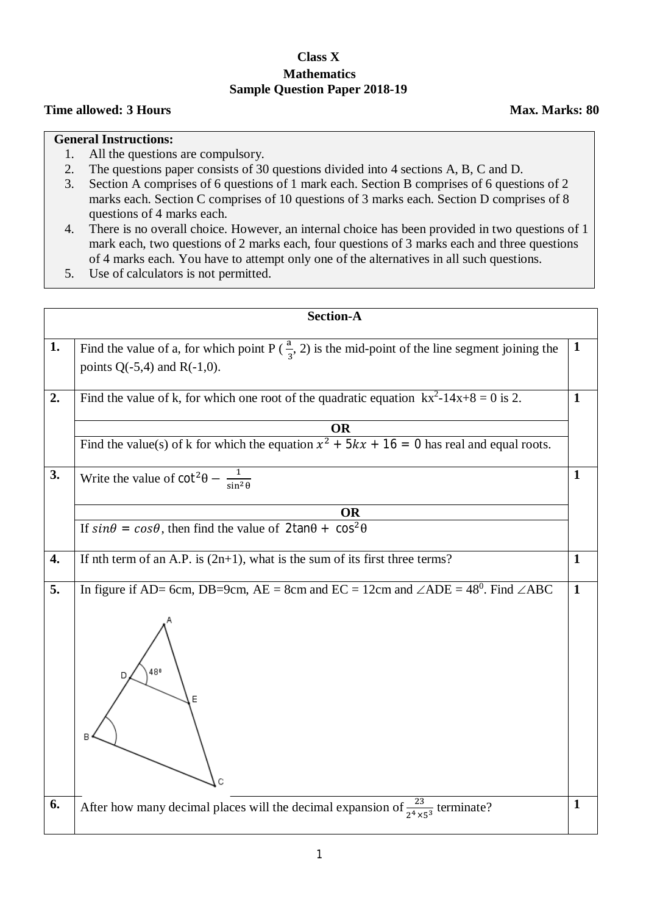## **Class X Mathematics Sample Question Paper 2018-19**

## **Time allowed: 3 Hours Max. Marks: 80**

## **General Instructions:**

- 1. All the questions are compulsory.
- 2. The questions paper consists of 30 questions divided into 4 sections A, B, C and D.
- 3. Section A comprises of 6 questions of 1 mark each. Section B comprises of 6 questions of 2 marks each. Section C comprises of 10 questions of 3 marks each. Section D comprises of 8 questions of 4 marks each.
- 4. There is no overall choice. However, an internal choice has been provided in two questions of 1 mark each, two questions of 2 marks each, four questions of 3 marks each and three questions of 4 marks each. You have to attempt only one of the alternatives in all such questions.
- 5. Use of calculators is not permitted.

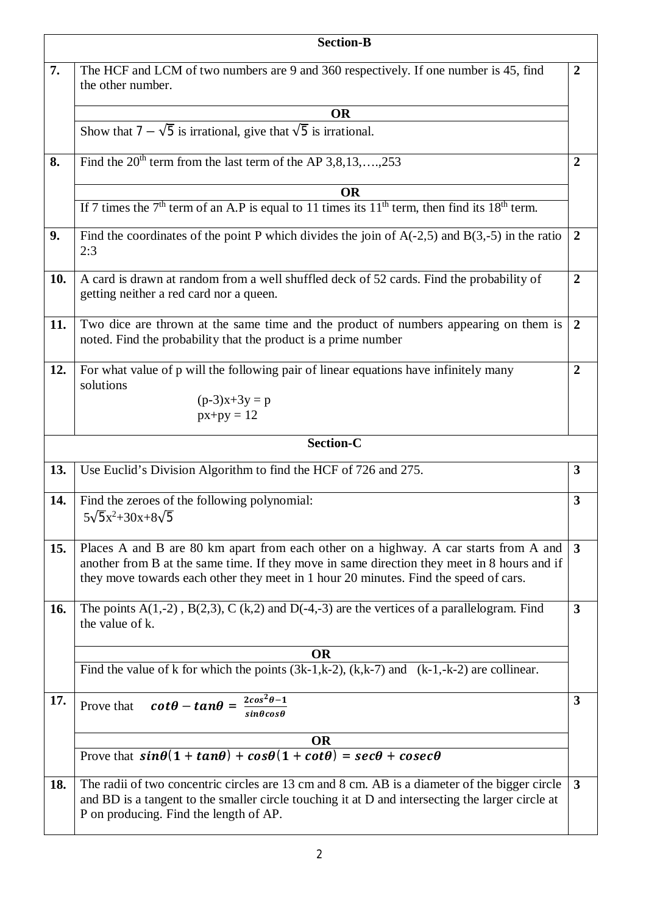|            | <b>Section-B</b>                                                                                                                                                                                                                                                            |                |  |  |  |  |
|------------|-----------------------------------------------------------------------------------------------------------------------------------------------------------------------------------------------------------------------------------------------------------------------------|----------------|--|--|--|--|
| 7.         | The HCF and LCM of two numbers are 9 and 360 respectively. If one number is 45, find<br>the other number.                                                                                                                                                                   | $\overline{2}$ |  |  |  |  |
|            | <b>OR</b>                                                                                                                                                                                                                                                                   |                |  |  |  |  |
|            | Show that $7 - \sqrt{5}$ is irrational, give that $\sqrt{5}$ is irrational.                                                                                                                                                                                                 |                |  |  |  |  |
| 8.         | Find the $20th$ term from the last term of the AP 3,8,13,,253                                                                                                                                                                                                               | $\overline{2}$ |  |  |  |  |
|            | <b>OR</b>                                                                                                                                                                                                                                                                   |                |  |  |  |  |
|            | If 7 times the $7th$ term of an A.P is equal to 11 times its 11 <sup>th</sup> term, then find its 18 <sup>th</sup> term.                                                                                                                                                    |                |  |  |  |  |
| 9.         | Find the coordinates of the point P which divides the join of $A(-2,5)$ and $B(3,-5)$ in the ratio<br>2:3                                                                                                                                                                   | $\overline{2}$ |  |  |  |  |
| 10.        | A card is drawn at random from a well shuffled deck of 52 cards. Find the probability of<br>getting neither a red card nor a queen.                                                                                                                                         | $\overline{2}$ |  |  |  |  |
| 11.        | Two dice are thrown at the same time and the product of numbers appearing on them is<br>noted. Find the probability that the product is a prime number                                                                                                                      |                |  |  |  |  |
| 12.        | For what value of p will the following pair of linear equations have infinitely many<br>solutions<br>$(p-3)x+3y = p$<br>$px+py = 12$                                                                                                                                        | $\overline{2}$ |  |  |  |  |
|            | <b>Section-C</b>                                                                                                                                                                                                                                                            |                |  |  |  |  |
| 13.        | Use Euclid's Division Algorithm to find the HCF of 726 and 275.                                                                                                                                                                                                             | $\mathbf{3}$   |  |  |  |  |
| 14.        | Find the zeroes of the following polynomial:<br>$5\sqrt{5}x^2+30x+8\sqrt{5}$                                                                                                                                                                                                | $\overline{3}$ |  |  |  |  |
| <b>15.</b> | Places A and B are 80 km apart from each other on a highway. A car starts from A and<br>another from B at the same time. If they move in same direction they meet in 8 hours and if<br>they move towards each other they meet in 1 hour 20 minutes. Find the speed of cars. | $\mathbf{3}$   |  |  |  |  |
| 16.        | The points $A(1,-2)$ , $B(2,3)$ , C (k, 2) and D(-4,-3) are the vertices of a parallelogram. Find<br>the value of k.                                                                                                                                                        | 3              |  |  |  |  |
|            | <b>OR</b>                                                                                                                                                                                                                                                                   |                |  |  |  |  |
|            | Find the value of k for which the points $(3k-1,k-2)$ , $(k,k-7)$ and $(k-1,-k-2)$ are collinear.                                                                                                                                                                           |                |  |  |  |  |
| 17.        | Prove that $\cot\theta - \tan\theta = \frac{2\cos^2\theta - 1}{\sin\theta\cos\theta}$                                                                                                                                                                                       | 3              |  |  |  |  |
|            | <b>OR</b>                                                                                                                                                                                                                                                                   |                |  |  |  |  |
|            | Prove that $sin\theta(1 + tan\theta) + cos\theta(1 + cot\theta) = sec\theta + cosec\theta$                                                                                                                                                                                  |                |  |  |  |  |
| 18.        | The radii of two concentric circles are 13 cm and 8 cm. AB is a diameter of the bigger circle<br>and BD is a tangent to the smaller circle touching it at D and intersecting the larger circle at<br>P on producing. Find the length of AP.                                 | $\mathbf{3}$   |  |  |  |  |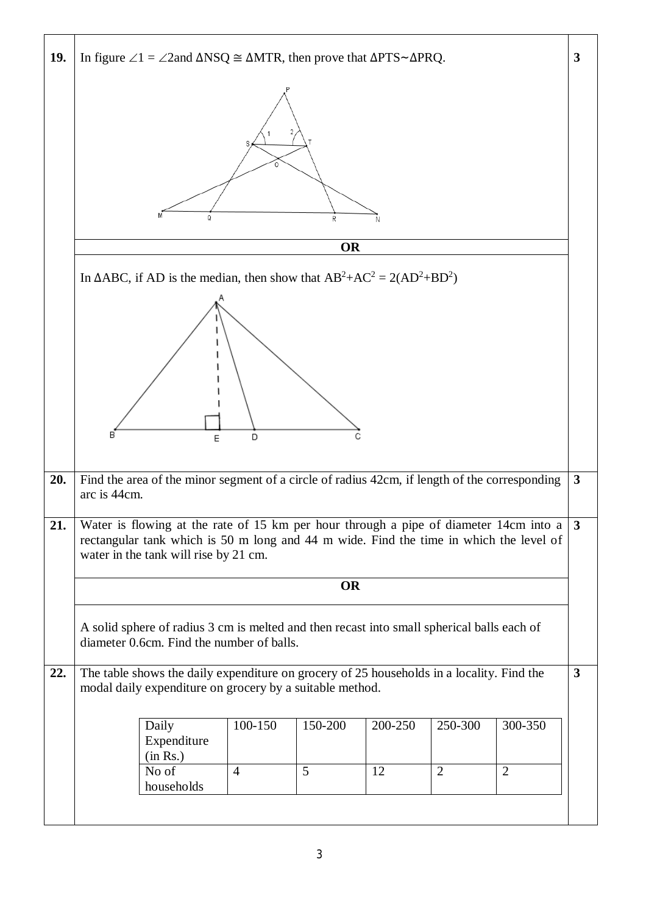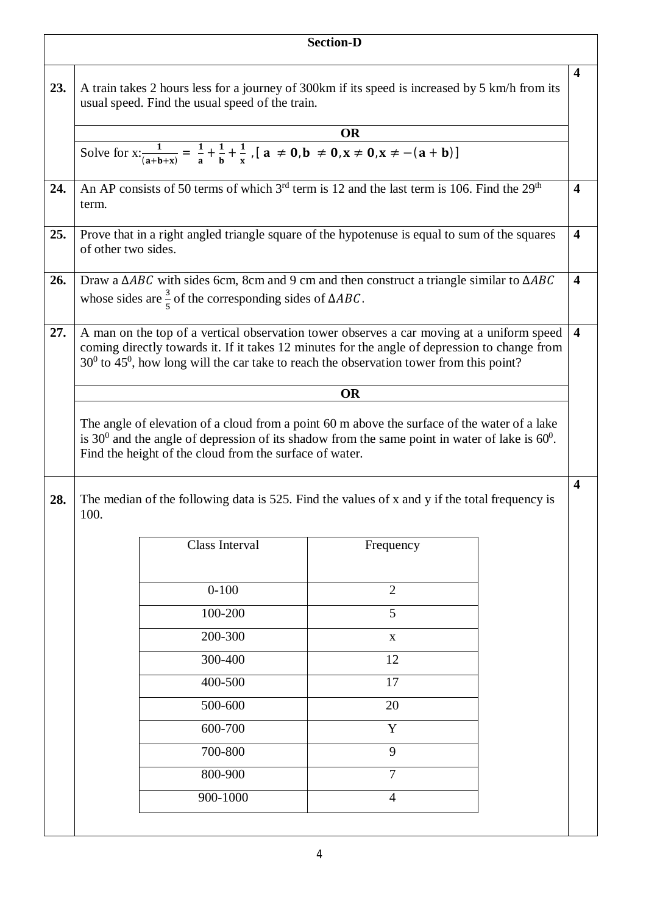|     |                     |                                                                                                                                                                                                                                                                                             | <b>Section-D</b> |                         |
|-----|---------------------|---------------------------------------------------------------------------------------------------------------------------------------------------------------------------------------------------------------------------------------------------------------------------------------------|------------------|-------------------------|
| 23. |                     | A train takes 2 hours less for a journey of 300km if its speed is increased by 5 km/h from its<br>usual speed. Find the usual speed of the train.<br>Solve for $x: \frac{1}{(a+b+x)} = \frac{1}{a} + \frac{1}{b} + \frac{1}{x}$ , $[a \ne 0, b \ne 0, x \ne 0, x \ne -(a+b)]$               | <b>OR</b>        | $\overline{\mathbf{4}}$ |
|     |                     |                                                                                                                                                                                                                                                                                             |                  |                         |
| 24. | term.               | An AP consists of 50 terms of which $3rd$ term is 12 and the last term is 106. Find the $29th$                                                                                                                                                                                              |                  | $\overline{\mathbf{4}}$ |
| 25. | of other two sides. | Prove that in a right angled triangle square of the hypotenuse is equal to sum of the squares                                                                                                                                                                                               |                  | $\overline{\mathbf{4}}$ |
| 26. |                     | Draw a $\triangle ABC$ with sides 6cm, 8cm and 9 cm and then construct a triangle similar to $\triangle ABC$<br>whose sides are $\frac{3}{5}$ of the corresponding sides of $\triangle ABC$ .                                                                                               |                  | $\overline{\mathbf{4}}$ |
| 27. |                     | A man on the top of a vertical observation tower observes a car moving at a uniform speed<br>coming directly towards it. If it takes 12 minutes for the angle of depression to change from<br>$30^0$ to $45^0$ , how long will the car take to reach the observation tower from this point? | <b>OR</b>        | $\overline{\mathbf{4}}$ |
|     |                     | The angle of elevation of a cloud from a point 60 m above the surface of the water of a lake<br>is 30 <sup>0</sup> and the angle of depression of its shadow from the same point in water of lake is $60^\circ$ .<br>Find the height of the cloud from the surface of water.                |                  |                         |
| 28. | 100.                | The median of the following data is 525. Find the values of x and y if the total frequency is                                                                                                                                                                                               |                  | $\overline{\mathbf{4}}$ |
|     |                     | Class Interval                                                                                                                                                                                                                                                                              | Frequency        |                         |
|     |                     | $0 - 100$                                                                                                                                                                                                                                                                                   | $\overline{2}$   |                         |
|     |                     | 100-200                                                                                                                                                                                                                                                                                     | 5                |                         |
|     |                     | 200-300                                                                                                                                                                                                                                                                                     | $\mathbf X$      |                         |
|     |                     | 300-400                                                                                                                                                                                                                                                                                     | 12               |                         |
|     |                     | 400-500                                                                                                                                                                                                                                                                                     | 17               |                         |
|     |                     | 500-600                                                                                                                                                                                                                                                                                     | 20               |                         |
|     |                     | 600-700                                                                                                                                                                                                                                                                                     | Y                |                         |
|     |                     | 700-800                                                                                                                                                                                                                                                                                     | 9                |                         |
|     |                     | 800-900                                                                                                                                                                                                                                                                                     | $\overline{7}$   |                         |
|     |                     | 900-1000                                                                                                                                                                                                                                                                                    | 4                |                         |
|     |                     |                                                                                                                                                                                                                                                                                             |                  |                         |